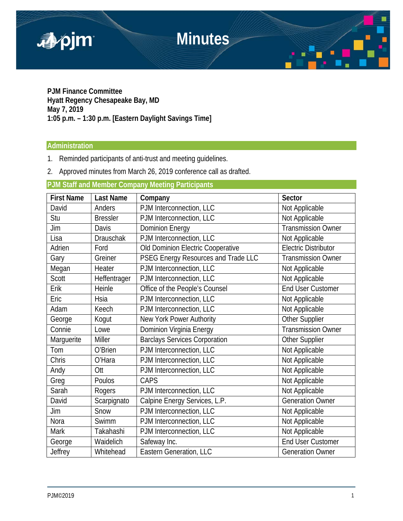

**PJM Finance Committee Hyatt Regency Chesapeake Bay, MD May 7, 2019 1:05 p.m. – 1:30 p.m. [Eastern Daylight Savings Time]**

## **Administration**

- 1. Reminded participants of anti-trust and meeting guidelines.
- 2. Approved minutes from March 26, 2019 conference call as drafted.

# **PJM Staff and Member Company Meeting Participants**

| <b>First Name</b> | <b>Last Name</b> | Company                              | <b>Sector</b>               |
|-------------------|------------------|--------------------------------------|-----------------------------|
| David             | Anders           | PJM Interconnection, LLC             | Not Applicable              |
| Stu               | <b>Bressler</b>  | PJM Interconnection, LLC             | Not Applicable              |
| Jim               | Davis            | <b>Dominion Energy</b>               | Transmission Owner          |
| Lisa              | <b>Drauschak</b> | PJM Interconnection, LLC             | Not Applicable              |
| Adrien            | Ford             | Old Dominion Electric Cooperative    | <b>Electric Distributor</b> |
| Gary              | Greiner          | PSEG Energy Resources and Trade LLC  | <b>Transmission Owner</b>   |
| Megan             | Heater           | PJM Interconnection, LLC             | Not Applicable              |
| Scott             | Heffentrager     | PJM Interconnection, LLC             | Not Applicable              |
| Erik              | Heinle           | Office of the People's Counsel       | <b>End User Customer</b>    |
| Eric              | Hsia             | PJM Interconnection, LLC             | Not Applicable              |
| Adam              | Keech            | PJM Interconnection, LLC             | Not Applicable              |
| George            | Kogut            | New York Power Authority             | Other Supplier              |
| Connie            | Lowe             | Dominion Virginia Energy             | <b>Transmission Owner</b>   |
| Marguerite        | Miller           | <b>Barclays Services Corporation</b> | Other Supplier              |
| Tom               | O'Brien          | PJM Interconnection, LLC             | Not Applicable              |
| Chris             | O'Hara           | PJM Interconnection, LLC             | Not Applicable              |
| Andy              | Ott              | PJM Interconnection, LLC             | Not Applicable              |
| Greg              | Poulos           | CAPS                                 | Not Applicable              |
| Sarah             | Rogers           | PJM Interconnection, LLC             | Not Applicable              |
| David             | Scarpignato      | Calpine Energy Services, L.P.        | <b>Generation Owner</b>     |
| Jim               | Snow             | PJM Interconnection, LLC             | Not Applicable              |
| Nora              | Swimm            | PJM Interconnection, LLC             | Not Applicable              |
| <b>Mark</b>       | Takahashi        | PJM Interconnection, LLC             | Not Applicable              |
| George            | Waidelich        | Safeway Inc.                         | <b>End User Customer</b>    |
| Jeffrey           | Whitehead        | Eastern Generation, LLC              | <b>Generation Owner</b>     |